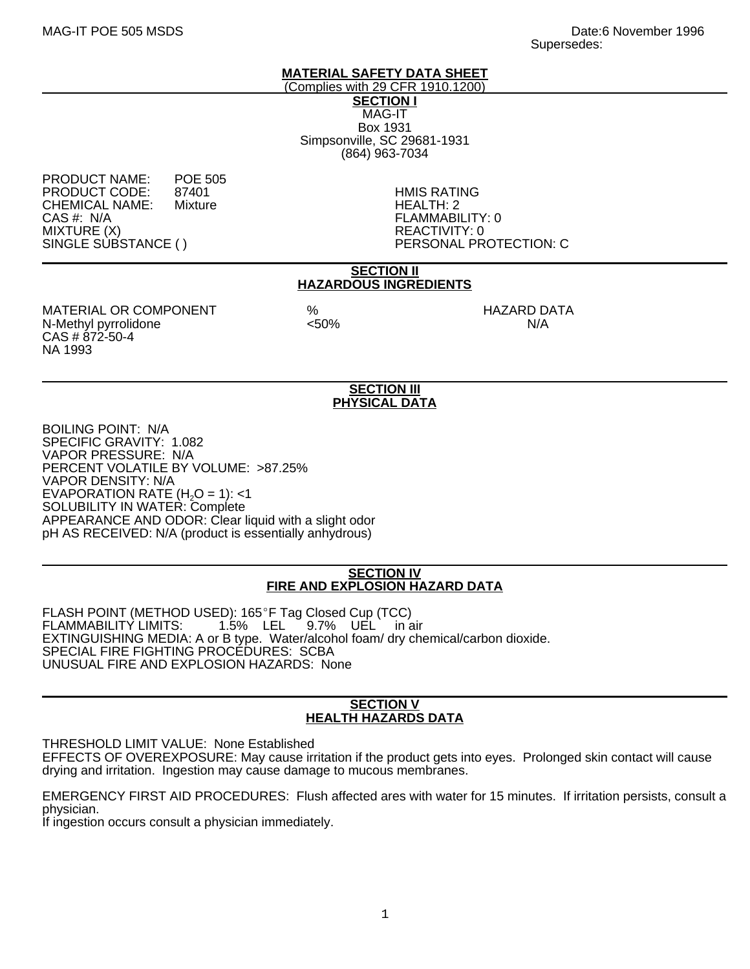#### **MATERIAL SAFETY DATA SHEET**

(Complies with 29 CFR 1910.1200) **SECTION I** MAG-IT Box 1931 Simpsonville, SC 29681-1931 (864) 963-7034

PRODUCT NAME: POE 505<br>PRODUCT CODE: 87401 PRODUCT CODE: 87401 HMIS RATING CHEMICAL NAME:<br>CAS #: N/A CAS #: N/A FLAMMABILITY: 0 MIXTURE (X)<br>SINGLE SUBSTANCE ( ) REACTIVITY: 0

PERSONAL PROTECTION: C

#### **SECTION II HAZARDOUS INGREDIENTS**

MATERIAL OR COMPONENT % HAZARD DATA N-Methyl pyrrolidone CAS # 872-50-4 NA 1993

## **SECTION III PHYSICAL DATA**

BOILING POINT: N/A SPECIFIC GRAVITY: 1.082 VAPOR PRESSURE: N/A PERCENT VOLATILE BY VOLUME: >87.25% VAPOR DENSITY: N/A EVAPORATION RATE  $(H<sub>2</sub>O = 1)$ : <1 SOLUBILITY IN WATER: Complete APPEARANCE AND ODOR: Clear liquid with a slight odor pH AS RECEIVED: N/A (product is essentially anhydrous)

### **SECTION IV FIRE AND EXPLOSION HAZARD DATA**

FLASH POINT (METHOD USED): 165°F Tag Closed Cup (TCC)<br>FLAMMABILITY LIMITS: 1.5% LEL 9.7% UEL in a FLAMMABILITY LIMITS: 1.5% LEL 9.7% UEL in air EXTINGUISHING MEDIA: A or B type. Water/alcohol foam/ dry chemical/carbon dioxide. SPECIAL FIRE FIGHTING PROCEDURES: SCBA UNUSUAL FIRE AND EXPLOSION HAZARDS: None

#### **SECTION V HEALTH HAZARDS DATA**

THRESHOLD LIMIT VALUE: None Established

EFFECTS OF OVEREXPOSURE: May cause irritation if the product gets into eyes. Prolonged skin contact will cause drying and irritation. Ingestion may cause damage to mucous membranes.

EMERGENCY FIRST AID PROCEDURES: Flush affected ares with water for 15 minutes. If irritation persists, consult a physician.

If ingestion occurs consult a physician immediately.